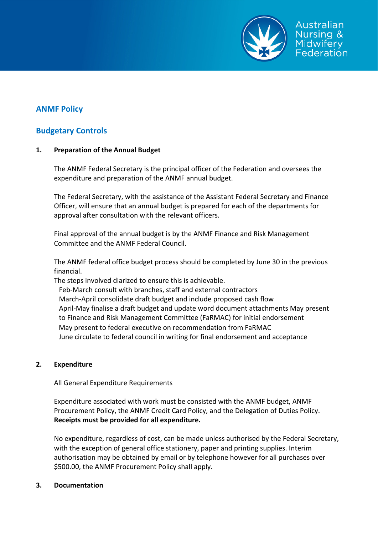

# **ANMF Policy**

## **Budgetary Controls**

### **1. Preparation of the Annual Budget**

The ANMF Federal Secretary is the principal officer of the Federation and oversees the expenditure and preparation of the ANMF annual budget.

The Federal Secretary, with the assistance of the Assistant Federal Secretary and Finance Officer, will ensure that an annual budget is prepared for each of the departments for approval after consultation with the relevant officers.

Final approval of the annual budget is by the ANMF Finance and Risk Management Committee and the ANMF Federal Council.

The ANMF federal office budget process should be completed by June 30 in the previous financial.

The steps involved diarized to ensure this is achievable.

Feb-March consult with branches, staff and external contractors March‐April consolidate draft budget and include proposed cash flow April‐May finalise a draft budget and update word document attachments May present to Finance and Risk Management Committee (FaRMAC) for initial endorsement May present to federal executive on recommendation from FaRMAC June circulate to federal council in writing for final endorsement and acceptance

#### **2. Expenditure**

All General Expenditure Requirements

Expenditure associated with work must be consisted with the ANMF budget, ANMF Procurement Policy, the ANMF Credit Card Policy, and the Delegation of Duties Policy. **Receipts must be provided for all expenditure.**

No expenditure, regardless of cost, can be made unless authorised by the Federal Secretary, with the exception of general office stationery, paper and printing supplies. Interim authorisation may be obtained by email or by telephone however for all purchases over \$500.00, the ANMF Procurement Policy shall apply.

#### **3. Documentation**